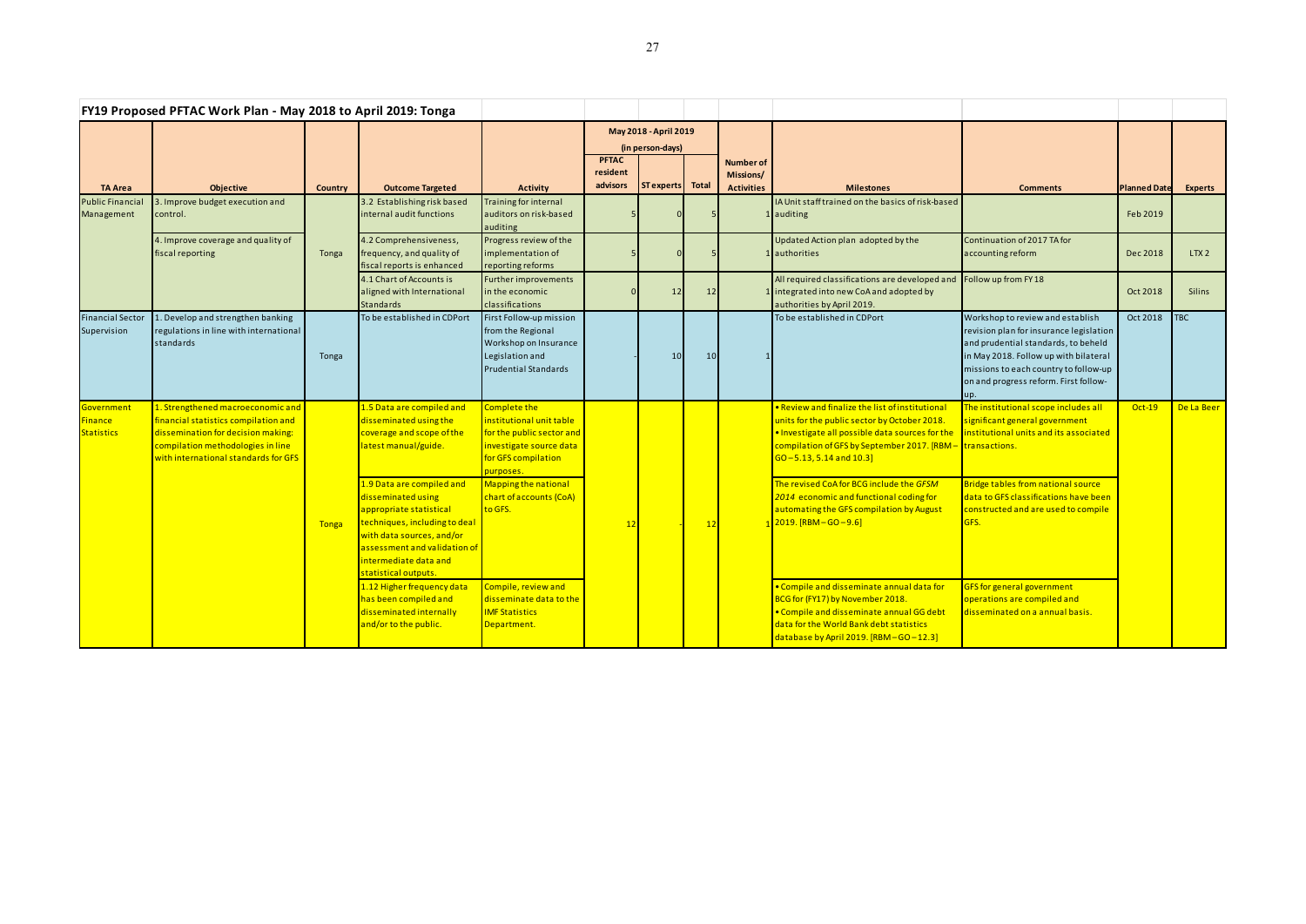| FY19 Proposed PFTAC Work Plan - May 2018 to April 2019: Tonga  |                                                                                                                                                                                              |                |                                                                                                                                                                                                                                                                                      |                                                                                                                                                                                                                  |                                           |            |                 |                                                    |                                                                                                                                                                                                                                                                                                                                                                                                                     |                                                                                                                                                                                                                                                      |                     |                |
|----------------------------------------------------------------|----------------------------------------------------------------------------------------------------------------------------------------------------------------------------------------------|----------------|--------------------------------------------------------------------------------------------------------------------------------------------------------------------------------------------------------------------------------------------------------------------------------------|------------------------------------------------------------------------------------------------------------------------------------------------------------------------------------------------------------------|-------------------------------------------|------------|-----------------|----------------------------------------------------|---------------------------------------------------------------------------------------------------------------------------------------------------------------------------------------------------------------------------------------------------------------------------------------------------------------------------------------------------------------------------------------------------------------------|------------------------------------------------------------------------------------------------------------------------------------------------------------------------------------------------------------------------------------------------------|---------------------|----------------|
|                                                                |                                                                                                                                                                                              |                |                                                                                                                                                                                                                                                                                      |                                                                                                                                                                                                                  | May 2018 - April 2019<br>(in person-days) |            |                 |                                                    |                                                                                                                                                                                                                                                                                                                                                                                                                     |                                                                                                                                                                                                                                                      |                     |                |
| <b>TA Area</b>                                                 | <b>Objective</b>                                                                                                                                                                             | <b>Country</b> | <b>Outcome Targeted</b>                                                                                                                                                                                                                                                              | <b>Activity</b>                                                                                                                                                                                                  | <b>PFTAC</b><br>resident<br>advisors      | ST experts | Total           | <b>Number of</b><br>Missions/<br><b>Activities</b> | <b>Milestones</b>                                                                                                                                                                                                                                                                                                                                                                                                   | <b>Comments</b>                                                                                                                                                                                                                                      | <b>Planned Date</b> | <b>Experts</b> |
| <b>Public Financial</b><br>Management                          | 3. Improve budget execution and<br>control.                                                                                                                                                  |                | 3.2 Establishing risk based<br>internal audit functions                                                                                                                                                                                                                              | Training for internal<br>auditors on risk-based<br>auditing                                                                                                                                                      |                                           |            |                 |                                                    | IA Unit staff trained on the basics of risk-based<br>auditing                                                                                                                                                                                                                                                                                                                                                       |                                                                                                                                                                                                                                                      | Feb 2019            |                |
|                                                                | 4. Improve coverage and quality of<br>fiscal reporting                                                                                                                                       | Tonga          | 4.2 Comprehensiveness,<br>frequency, and quality of<br>fiscal reports is enhanced                                                                                                                                                                                                    | Progress review of the<br>implementation of<br>reporting reforms                                                                                                                                                 |                                           |            |                 |                                                    | Updated Action plan adopted by the<br>1 authorities                                                                                                                                                                                                                                                                                                                                                                 | Continuation of 2017 TA for<br>accounting reform                                                                                                                                                                                                     | Dec 2018            | LTX2           |
|                                                                |                                                                                                                                                                                              |                | 4.1 Chart of Accounts is<br>aligned with International<br>Standards                                                                                                                                                                                                                  | Further improvements<br>in the economic<br>classifications                                                                                                                                                       |                                           | 12         | 12              |                                                    | All required classifications are developed and<br>1 integrated into new CoA and adopted by<br>authorities by April 2019.                                                                                                                                                                                                                                                                                            | Follow up from FY 18                                                                                                                                                                                                                                 | Oct 2018            | <b>Silins</b>  |
| <b>Financial Sector</b><br>Supervision                         | . Develop and strengthen banking<br>regulations in line with international<br>standards                                                                                                      | Tonga          | To be established in CDPort                                                                                                                                                                                                                                                          | First Follow-up mission<br>from the Regional<br>Workshop on Insurance<br>Legislation and<br><b>Prudential Standards</b>                                                                                          |                                           | 10         | 10 <sup>1</sup> |                                                    | To be established in CDPort                                                                                                                                                                                                                                                                                                                                                                                         | Workshop to review and establish<br>revision plan for insurance legislation<br>and prudential standards, to beheld<br>in May 2018. Follow up with bilateral<br>missions to each country to follow-up<br>on and progress reform. First follow-<br>up. | Oct 2018            | <b>TBC</b>     |
| <mark>Government</mark><br><b>Finance</b><br><b>Statistics</b> | 1. Strengthened macroeconomic and<br>financial statistics compilation and<br>dissemination for decision making:<br>compilation methodologies in line<br>with international standards for GFS | <b>Tonga</b>   | 1.5 Data are compiled and<br>disseminated using the<br>coverage and scope of the<br>latest manual/guide.<br>1.9 Data are compiled and<br>disseminated using<br>appropriate statistical<br>techniques, including to deal<br>with data sources, and/or<br>assessment and validation of | <b>Complete the</b><br>institutional unit table<br>for the public sector and<br>investigate source data<br>for GFS compilation<br>purposes.<br>Mapping the national<br><b>chart of accounts (CoA)</b><br>to GFS. | 12                                        |            | 12              |                                                    | . Review and finalize the list of institutional<br>units for the public sector by October 2018.<br>. Investigate all possible data sources for the<br>compilation of GFS by September 2017. [RBM - transactions.<br>$GO - 5.13, 5.14$ and $10.3$<br>The revised CoA for BCG include the GFSM<br>2014 economic and functional coding for<br>automating the GFS compilation by August<br>$2019.$ [RBM $-$ GO $-9.6$ ] | The institutional scope includes all<br>significant general government<br>institutional units and its associated<br>Bridge tables from national source<br>data to GFS classifications have been<br>constructed and are used to compile<br>GFS.       | $Oct-19$            | De La Beer     |
|                                                                |                                                                                                                                                                                              |                | ntermediate data and<br>statistical outputs.<br>1.12 Higher frequency data<br>has been compiled and<br>disseminated internally<br>and/or to the public.                                                                                                                              | Compile, review and<br>disseminate data to the<br><b>IMF Statistics</b><br>Department.                                                                                                                           |                                           |            |                 |                                                    | . Compile and disseminate annual data for<br>BCG for (FY17) by November 2018.<br>. Compile and disseminate annual GG debt<br>data for the World Bank debt statistics<br>database by April 2019. [RBM-GO-12.3]                                                                                                                                                                                                       | GFS for general government<br>operations are compiled and<br>disseminated on a annual basis.                                                                                                                                                         |                     |                |